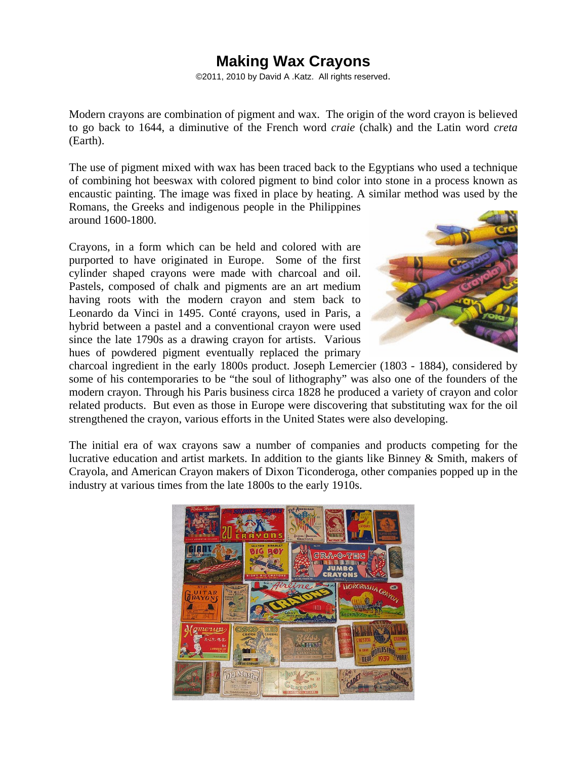# **Making Wax Crayons**

©2011, 2010 by David A .Katz. All rights reserved.

Modern crayons are combination of pigment and wax. The origin of the word crayon is believed to go back to 1644, a diminutive of the French word *craie* (chalk) and the Latin word *creta* (Earth).

The use of pigment mixed with wax has been traced back to the Egyptians who used a technique of combining hot beeswax with colored pigment to bind color into stone in a process known as encaustic painting. The image was fixed in place by heating. A similar method was used by the Romans, the Greeks and indigenous people in the Philippines

around 1600-1800.

Crayons, in a form which can be held and colored with are purported to have originated in Europe. Some of the first cylinder shaped crayons were made with charcoal and oil. Pastels, composed of chalk and pigments are an art medium having roots with the modern crayon and stem back to Leonardo da Vinci in 1495. Conté crayons, used in Paris, a hybrid between a pastel and a conventional crayon were used since the late 1790s as a drawing crayon for artists. Various hues of powdered pigment eventually replaced the primary



charcoal ingredient in the early 1800s product. Joseph Lemercier (1803 - 1884), considered by some of his contemporaries to be "the soul of lithography" was also one of the founders of the modern crayon. Through his Paris business circa 1828 he produced a variety of crayon and color related products. But even as those in Europe were discovering that substituting wax for the oil strengthened the crayon, various efforts in the United States were also developing.

The initial era of wax crayons saw a number of companies and products competing for the lucrative education and artist markets. In addition to the giants like Binney & Smith, makers of Crayola, and American Crayon makers of Dixon Ticonderoga, other companies popped up in the industry at various times from the late 1800s to the early 1910s.

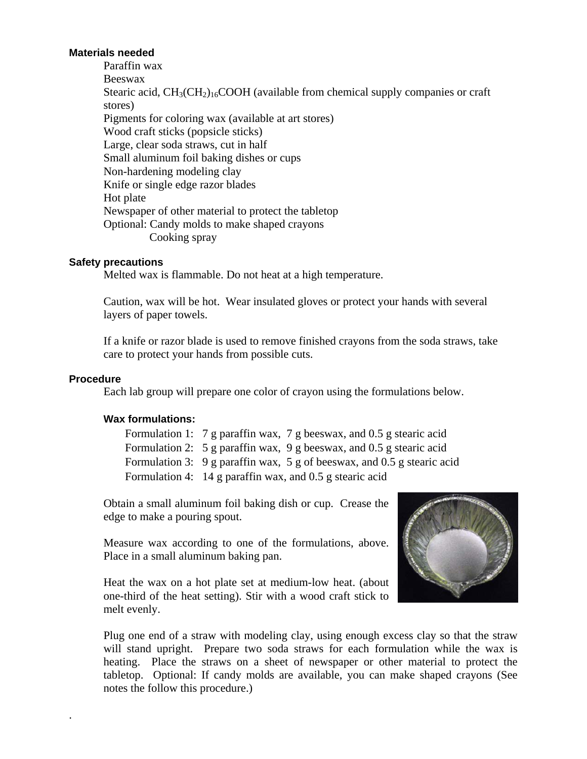## **Materials needed**

Paraffin wax Beeswax Stearic acid,  $CH<sub>3</sub>(CH<sub>2)</sub><sub>16</sub>COOH$  (available from chemical supply companies or craft stores) Pigments for coloring wax (available at art stores) Wood craft sticks (popsicle sticks) Large, clear soda straws, cut in half Small aluminum foil baking dishes or cups Non-hardening modeling clay Knife or single edge razor blades Hot plate Newspaper of other material to protect the tabletop Optional: Candy molds to make shaped crayons Cooking spray

#### **Safety precautions**

Melted wax is flammable. Do not heat at a high temperature.

Caution, wax will be hot. Wear insulated gloves or protect your hands with several layers of paper towels.

If a knife or razor blade is used to remove finished crayons from the soda straws, take care to protect your hands from possible cuts.

#### **Procedure**

.

Each lab group will prepare one color of crayon using the formulations below.

#### **Wax formulations:**

Formulation 1: 7 g paraffin wax, 7 g beeswax, and 0.5 g stearic acid Formulation 2: 5 g paraffin wax, 9 g beeswax, and 0.5 g stearic acid Formulation 3: 9 g paraffin wax, 5 g of beeswax, and 0.5 g stearic acid Formulation 4: 14 g paraffin wax, and 0.5 g stearic acid

Obtain a small aluminum foil baking dish or cup. Crease the edge to make a pouring spout.

Measure wax according to one of the formulations, above. Place in a small aluminum baking pan.

Heat the wax on a hot plate set at medium-low heat. (about one-third of the heat setting). Stir with a wood craft stick to melt evenly.



Plug one end of a straw with modeling clay, using enough excess clay so that the straw will stand upright. Prepare two soda straws for each formulation while the wax is heating. Place the straws on a sheet of newspaper or other material to protect the tabletop. Optional: If candy molds are available, you can make shaped crayons (See notes the follow this procedure.)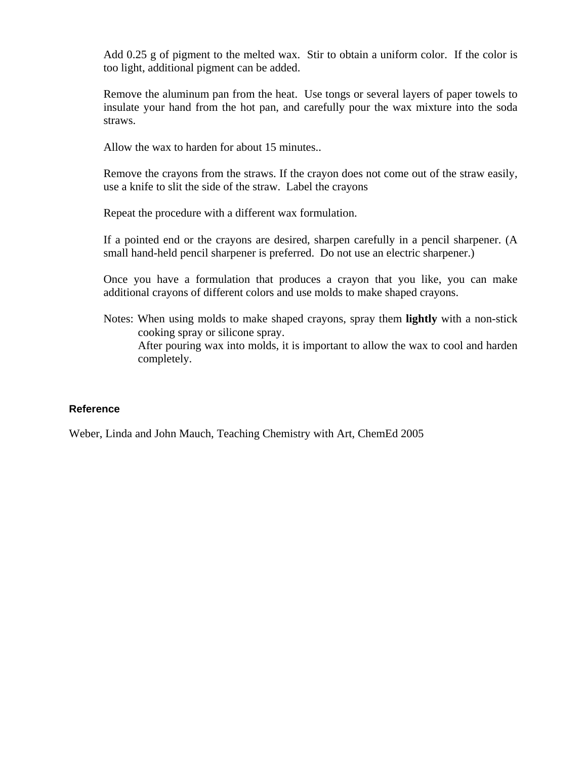Add 0.25 g of pigment to the melted wax. Stir to obtain a uniform color. If the color is too light, additional pigment can be added.

Remove the aluminum pan from the heat. Use tongs or several layers of paper towels to insulate your hand from the hot pan, and carefully pour the wax mixture into the soda straws.

Allow the wax to harden for about 15 minutes..

Remove the crayons from the straws. If the crayon does not come out of the straw easily, use a knife to slit the side of the straw. Label the crayons

Repeat the procedure with a different wax formulation.

If a pointed end or the crayons are desired, sharpen carefully in a pencil sharpener. (A small hand-held pencil sharpener is preferred. Do not use an electric sharpener.)

Once you have a formulation that produces a crayon that you like, you can make additional crayons of different colors and use molds to make shaped crayons.

Notes: When using molds to make shaped crayons, spray them **lightly** with a non-stick cooking spray or silicone spray. After pouring wax into molds, it is important to allow the wax to cool and harden completely.

### **Reference**

Weber, Linda and John Mauch, Teaching Chemistry with Art, ChemEd 2005